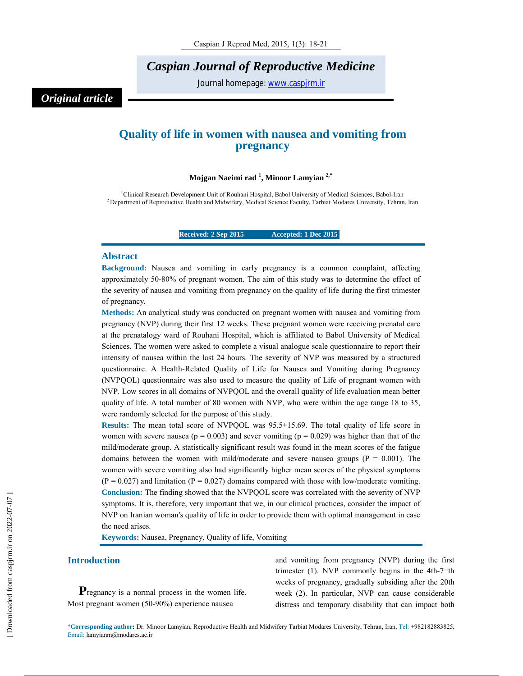*Caspian Journal of Reproductive Medicine*

Journal homepage: www.caspjrm.ir

# *Original article*

# **Quality of life in women with nausea and vomiting from pregnancy**

## **Mojgan Naeimi rad <sup>1</sup> , Minoor Lamyian 2,\***

1 Clinical Research Development Unit of Rouhani Hospital, Babol University of Medical Sciences, Babol-Iran <sup>2</sup> Department of Reproductive Health and Midwifery, Medical Science Faculty, Tarbiat Modares University, Tehran, Iran

**Received: 2 Sep 2015 Accepted: 1 Dec 2015** 

#### **Abstract**

**Background:** Nausea and vomiting in early pregnancy is a common complaint, affecting approximately 50-80% of pregnant women. The aim of this study was to determine the effect of the severity of nausea and vomiting from pregnancy on the quality of life during the first trimester of pregnancy.

**Methods:** An analytical study was conducted on pregnant women with nausea and vomiting from pregnancy (NVP) during their first 12 weeks. These pregnant women were receiving prenatal care at the prenatalogy ward of Rouhani Hospital, which is affiliated to Babol University of Medical Sciences. The women were asked to complete a visual analogue scale questionnaire to report their intensity of nausea within the last 24 hours. The severity of NVP was measured by a structured questionnaire. A Health-Related Quality of Life for Nausea and Vomiting during Pregnancy (NVPQOL) questionnaire was also used to measure the quality of Life of pregnant women with NVP. Low scores in all domains of NVPQOL and the overall quality of life evaluation mean better quality of life. A total number of 80 women with NVP, who were within the age range 18 to 35, were randomly selected for the purpose of this study.

**Results:** The mean total score of NVPQOL was 95.5±15.69. The total quality of life score in women with severe nausea ( $p = 0.003$ ) and sever vomiting ( $p = 0.029$ ) was higher than that of the mild/moderate group. A statistically significant result was found in the mean scores of the fatigue domains between the women with mild/moderate and severe nausea groups ( $P = 0.001$ ). The women with severe vomiting also had significantly higher mean scores of the physical symptoms  $(P = 0.027)$  and limitation  $(P = 0.027)$  domains compared with those with low/moderate vomiting. **Conclusion:** The finding showed that the NVPQOL score was correlated with the severity of NVP symptoms. It is, therefore, very important that we, in our clinical practices, consider the impact of NVP on Iranian woman's quality of life in order to provide them with optimal management in case the need arises.

**Keywords:** Nausea, Pregnancy, Quality of life, Vomiting

#### **Introduction**

**P**regnancy is a normal process in the women life. Most pregnant women (50-90%) experience nausea

and vomiting from pregnancy (NVP) during the first trimester (1). NVP commonly begins in the 4th-7¬th weeks of pregnancy, gradually subsiding after the 20th week (2). In particular, NVP can cause considerable distress and temporary disability that can impact both

\***Corresponding author:** Dr. Minoor Lamyian, Reproductive Health and Midwifery Tarbiat Modares University, Tehran, Iran, Tel: +982182883825, Email: lamyianm@modares.ac.ir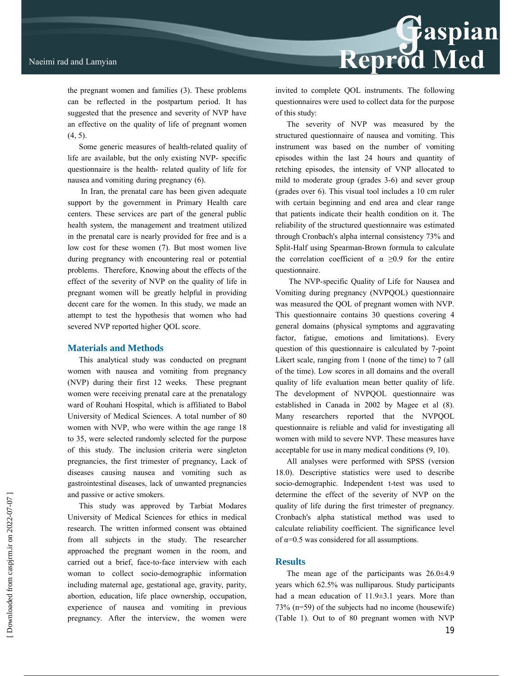the pregnant women and families (3). These problems can be reflected in the postpartum period. It has suggested that the presence and severity of NVP have an effective on the quality of life of pregnant women (4, 5).

Some generic measures of health-related quality of life are available, but the only existing NVP- specific questionnaire is the health- related quality of life for nausea and vomiting during pregnancy (6).

In Iran, the prenatal care has been given adequate support by the government in Primary Health care centers. These services are part of the general public health system, the management and treatment utilized in the prenatal care is nearly provided for free and is a low cost for these women (7). But most women live during pregnancy with encountering real or potential problems. Therefore, Knowing about the effects of the effect of the severity of NVP on the quality of life in pregnant women will be greatly helpful in providing decent care for the women. In this study, we made an attempt to test the hypothesis that women who had severed NVP reported higher QOL score.

#### **Materials and Methods**

This analytical study was conducted on pregnant women with nausea and vomiting from pregnancy (NVP) during their first 12 weeks. These pregnant women were receiving prenatal care at the prenatalogy ward of Rouhani Hospital, which is affiliated to Babol University of Medical Sciences. A total number of 80 women with NVP, who were within the age range 18 to 35, were selected randomly selected for the purpose of this study. The inclusion criteria were singleton pregnancies, the first trimester of pregnancy, Lack of diseases causing nausea and vomiting such as gastrointestinal diseases, lack of unwanted pregnancies and passive or active smokers.

This study was approved by Tarbiat Modares University of Medical Sciences for ethics in medical research. The written informed consent was obtained from all subjects in the study. The researcher approached the pregnant women in the room, and carried out a brief, face-to-face interview with each woman to collect socio-demographic information including maternal age, gestational age, gravity, parity, abortion, education, life place ownership, occupation, experience of nausea and vomiting in previous pregnancy. After the interview, the women were invited to complete QOL instruments. The following questionnaires were used to collect data for the purpose of this study:

Reprod Med

The severity of NVP was measured by the structured questionnaire of nausea and vomiting. This instrument was based on the number of vomiting episodes within the last 24 hours and quantity of retching episodes, the intensity of VNP allocated to mild to moderate group (grades 3-6) and sever group (grades over 6). This visual tool includes a 10 cm ruler with certain beginning and end area and clear range that patients indicate their health condition on it. The reliability of the structured questionnaire was estimated through Cronbach's alpha internal consistency 73% and Split-Half using Spearman-Brown formula to calculate the correlation coefficient of  $\alpha \ge 0.9$  for the entire questionnaire.

The NVP-specific Quality of Life for Nausea and Vomiting during pregnancy (NVPQOL) questionnaire was measured the QOL of pregnant women with NVP. This questionnaire contains 30 questions covering 4 general domains (physical symptoms and aggravating factor, fatigue, emotions and limitations). Every question of this questionnaire is calculated by 7-point Likert scale, ranging from 1 (none of the time) to 7 (all of the time). Low scores in all domains and the overall quality of life evaluation mean better quality of life. The development of NVPQOL questionnaire was established in Canada in 2002 by Magee et al (8). Many researchers reported that the NVPQOL questionnaire is reliable and valid for investigating all women with mild to severe NVP. These measures have acceptable for use in many medical conditions (9, 10).

All analyses were performed with SPSS (version 18.0). Descriptive statistics were used to describe socio-demographic. Independent t-test was used to determine the effect of the severity of NVP on the quality of life during the first trimester of pregnancy. Cronbach's alpha statistical method was used to calculate reliability coefficient. The significance level of  $\alpha$ =0.5 was considered for all assumptions.

#### **Results**

The mean age of the participants was 26.0±4.9 years which 62.5% was nulliparous. Study participants had a mean education of 11.9±3.1 years. More than 73% (n=59) of the subjects had no income (housewife) (Table 1). Out to of 80 pregnant women with NVP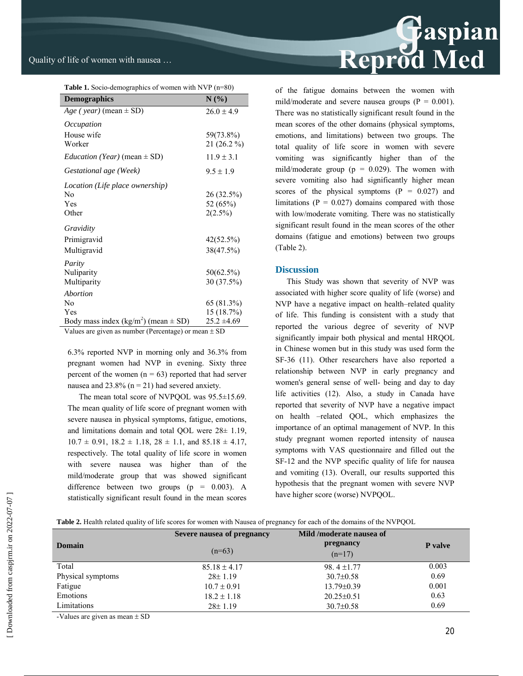| <b>Table 1.</b> Socio-demographics of women with NVP $(n=80)$ |                 |  |  |
|---------------------------------------------------------------|-----------------|--|--|
| <b>Demographics</b>                                           | N(%             |  |  |
| $Age$ (year) (mean $\pm$ SD)                                  | $26.0 \pm 4.9$  |  |  |
| Occupation                                                    |                 |  |  |
| House wife                                                    | 59(73.8%)       |  |  |
| Worker                                                        | 21 (26.2 %)     |  |  |
| <i>Education</i> ( <i>Year</i> ) (mean $\pm$ SD)              | $11.9 \pm 3.1$  |  |  |
| Gestational age (Week)                                        | $9.5 \pm 1.9$   |  |  |
| Location (Life place ownership)                               |                 |  |  |
| No                                                            | 26 (32.5%)      |  |  |
| Yes                                                           | 52 (65%)        |  |  |
| Other                                                         | 2(2.5%)         |  |  |
| Gravidity                                                     |                 |  |  |
| Primigravid                                                   | 42(52.5%)       |  |  |
| Multigravid                                                   | 38(47.5%)       |  |  |
| Parity                                                        |                 |  |  |
| Nuliparity                                                    | 50(62.5%)       |  |  |
| Multiparity                                                   | 30 (37.5%)      |  |  |
| Abortion                                                      |                 |  |  |
| N <sub>0</sub>                                                | 65 (81.3%)      |  |  |
| Yes                                                           | 15 (18.7%)      |  |  |
| Body mass index $(kg/m^2)$ (mean $\pm$ SD)                    | $25.2 \pm 4.69$ |  |  |
| Values are given as number (Percentage) or mean $\pm$ SD      |                 |  |  |

6.3% reported NVP in morning only and 36.3% from pregnant women had NVP in evening. Sixty three percent of the women  $(n = 63)$  reported that had server nausea and  $23.8\%$  (n = 21) had severed anxiety.

The mean total score of NVPQOL was 95.5±15.69. The mean quality of life score of pregnant women with severe nausea in physical symptoms, fatigue, emotions, and limitations domain and total QOL were 28± 1.19,  $10.7 \pm 0.91$ ,  $18.2 \pm 1.18$ ,  $28 \pm 1.1$ , and  $85.18 \pm 4.17$ , respectively. The total quality of life score in women with severe nausea was higher than of the mild/moderate group that was showed significant difference between two groups  $(p = 0.003)$ . A statistically significant result found in the mean scores



of the fatigue domains between the women with mild/moderate and severe nausea groups ( $P = 0.001$ ). There was no statistically significant result found in the mean scores of the other domains (physical symptoms, emotions, and limitations) between two groups. The total quality of life score in women with severe vomiting was significantly higher than of the mild/moderate group ( $p = 0.029$ ). The women with severe vomiting also had significantly higher mean scores of the physical symptoms  $(P = 0.027)$  and limitations ( $P = 0.027$ ) domains compared with those with low/moderate vomiting. There was no statistically significant result found in the mean scores of the other domains (fatigue and emotions) between two groups (Table 2).

# **Discussion**

This Study was shown that severity of NVP was associated with higher score quality of life (worse) and NVP have a negative impact on health–related quality of life. This funding is consistent with a study that reported the various degree of severity of NVP significantly impair both physical and mental HRQOL in Chinese women but in this study was used form the SF-36 (11). Other researchers have also reported a relationship between NVP in early pregnancy and women's general sense of well- being and day to day life activities (12). Also, a study in Canada have reported that severity of NVP have a negative impact on health –related QOL, which emphasizes the importance of an optimal management of NVP. In this study pregnant women reported intensity of nausea symptoms with VAS questionnaire and filled out the SF-12 and the NVP specific quality of life for nausea and vomiting (13). Overall, our results supported this hypothesis that the pregnant women with severe NVP have higher score (worse) NVPQOL.

**Table 2.** Health related quality of life scores for women with Nausea of pregnancy for each of the domains of the NVPQOL

|                   | Severe nausea of pregnancy | Mild /moderate nausea of |                |
|-------------------|----------------------------|--------------------------|----------------|
| <b>Domain</b>     | $(n=63)$                   | pregnancy                | <b>P</b> valve |
|                   |                            | $(n=17)$                 |                |
| Total             | $85.18 \pm 4.17$           | 98.4 $\pm$ 1.77          | 0.003          |
| Physical symptoms | $28 \pm 1.19$              | $30.7 \pm 0.58$          | 0.69           |
| Fatigue           | $10.7 \pm 0.91$            | $13.79 \pm 0.39$         | 0.001          |
| Emotions          | $18.2 \pm 1.18$            | $20.25 \pm 0.51$         | 0.63           |
| Limitations       | $28 \pm 1.19$              | $30.7 \pm 0.58$          | 0.69           |

-Values are given as mean  $\pm$  SD